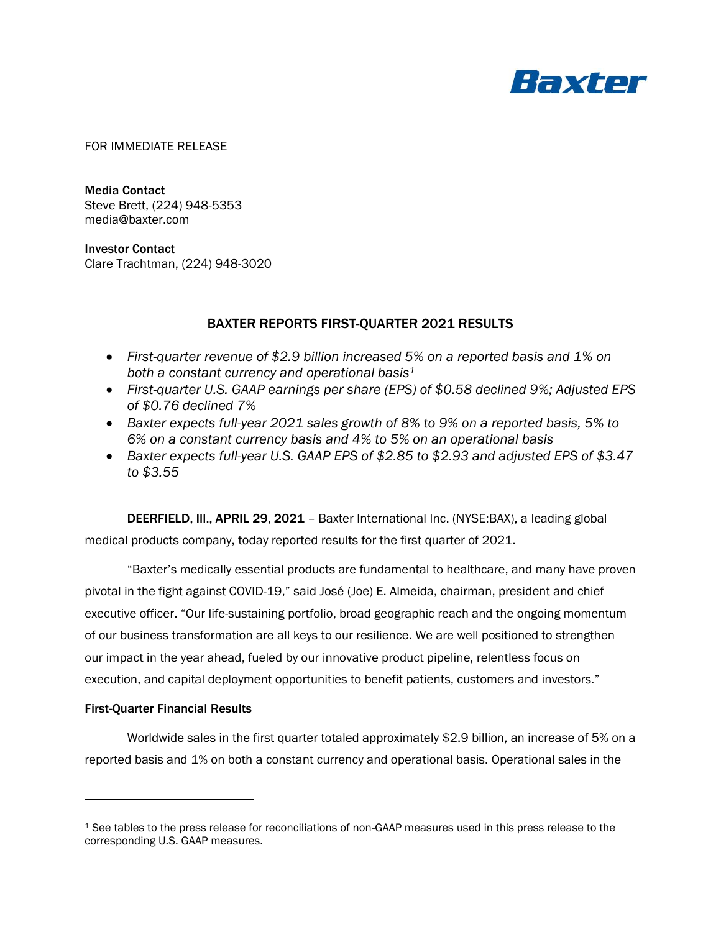

### FOR IMMEDIATE RELEASE

Media Contact Steve Brett, (224) 948-5353 media@baxter.com

Investor Contact Clare Trachtman, (224) 948-3020

# BAXTER REPORTS FIRST-QUARTER 2021 RESULTS

- *First-quarter revenue of \$2.9 billion increased 5% on a reported basis and 1% on both a constant currency and operational basis 1*
- *First-quarter U.S. GAAP earnings per share (EPS) of \$0.58 declined 9%; Adjusted EPS of \$0.76 declined 7%*
- *Baxter expects full-year 2021 sales growth of 8% to 9% on a reported basis, 5% to 6% on a constant currency basis and 4% to 5% on an operational basis*
- *Baxter expects full-year U.S. GAAP EPS of \$2.85 to \$2.93 and adjusted EPS of \$3.47 to \$3.55*

DEERFIELD, Ill., APRIL 29, 2021 – Baxter International Inc. (NYSE:BAX), a leading global medical products company, today reported results for the first quarter of 2021.

"Baxter's medically essential products are fundamental to healthcare, and many have proven pivotal in the fight against COVID-19," said José (Joe) E. Almeida, chairman, president and chief executive officer. "Our life-sustaining portfolio, broad geographic reach and the ongoing momentum of our business transformation are all keys to our resilience. We are well positioned to strengthen our impact in the year ahead, fueled by our innovative product pipeline, relentless focus on execution, and capital deployment opportunities to benefit patients, customers and investors."

### First-Quarter Financial Results

Worldwide sales in the first quarter totaled approximately \$2.9 billion, an increase of 5% on a reported basis and 1% on both a constant currency and operational basis. Operational sales in the

<sup>1</sup> See tables to the press release for reconciliations of non-GAAP measures used in this press release to the corresponding U.S. GAAP measures.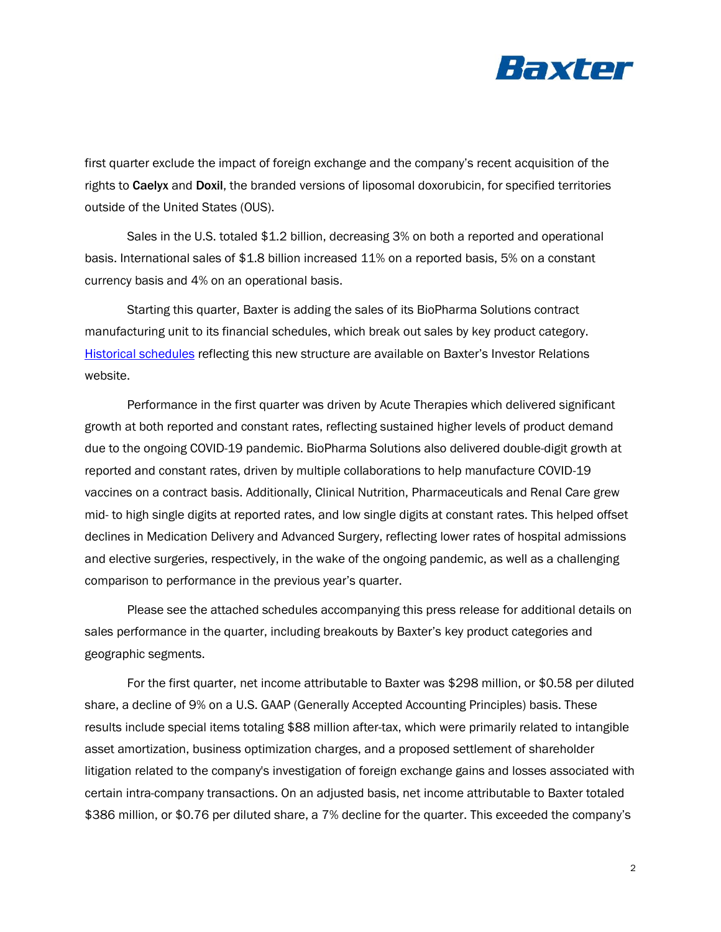

first quarter exclude the impact of foreign exchange and the company's recent acquisition of the rights to Caelyx and Doxil, the branded versions of liposomal doxorubicin, for specified territories outside of the United States (OUS).

Sales in the U.S. totaled \$1.2 billion, decreasing 3% on both a reported and operational basis. International sales of \$1.8 billion increased 11% on a reported basis, 5% on a constant currency basis and 4% on an operational basis.

Starting this quarter, Baxter is adding the sales of its BioPharma Solutions contract manufacturing unit to its financial schedules, which break out sales by key product category. [Historical schedules](https://s22.q4cdn.com/911189824/files/doc_downloads/financial_schedules/2021/Baxter_Recast_of_Certain_Historical_Segment_and_Product_Category_Financials.pdf) reflecting this new structure are available on Baxter's Investor Relations website.

Performance in the first quarter was driven by Acute Therapies which delivered significant growth at both reported and constant rates, reflecting sustained higher levels of product demand due to the ongoing COVID-19 pandemic. BioPharma Solutions also delivered double-digit growth at reported and constant rates, driven by multiple collaborations to help manufacture COVID-19 vaccines on a contract basis. Additionally, Clinical Nutrition, Pharmaceuticals and Renal Care grew mid- to high single digits at reported rates, and low single digits at constant rates. This helped offset declines in Medication Delivery and Advanced Surgery, reflecting lower rates of hospital admissions and elective surgeries, respectively, in the wake of the ongoing pandemic, as well as a challenging comparison to performance in the previous year's quarter.

Please see the attached schedules accompanying this press release for additional details on sales performance in the quarter, including breakouts by Baxter's key product categories and geographic segments.

For the first quarter, net income attributable to Baxter was \$298 million, or \$0.58 per diluted share, a decline of 9% on a U.S. GAAP (Generally Accepted Accounting Principles) basis. These results include special items totaling \$88 million after-tax, which were primarily related to intangible asset amortization, business optimization charges, and a proposed settlement of shareholder litigation related to the company's investigation of foreign exchange gains and losses associated with certain intra-company transactions. On an adjusted basis, net income attributable to Baxter totaled \$386 million, or \$0.76 per diluted share, a 7% decline for the quarter. This exceeded the company's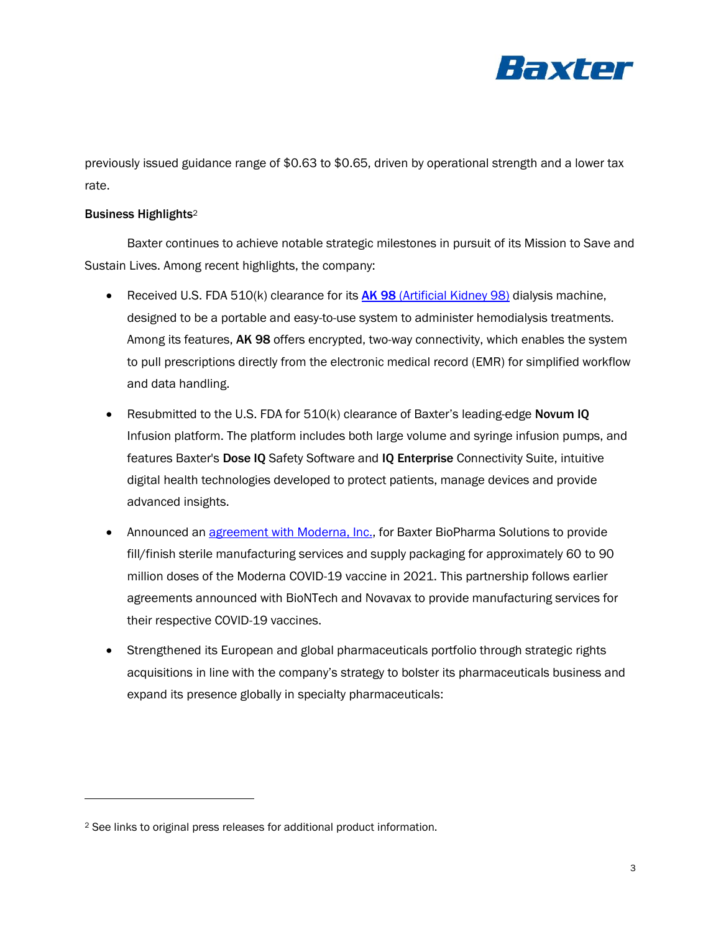

previously issued guidance range of \$0.63 to \$0.65, driven by operational strength and a lower tax rate.

# Business Highlights<sup>2</sup>

Baxter continues to achieve notable strategic milestones in pursuit of its Mission to Save and Sustain Lives. Among recent highlights, the company:

- Received U.S. FDA 510(k) clearance for its **AK 98** [\(Artificial Kidney 98\)](https://www.baxter.com/baxter-newsroom/baxter-announces-us-fda-510k-clearance-ak-98-hemodialysis-machine-0) dialysis machine, designed to be a portable and easy-to-use system to administer hemodialysis treatments. Among its features, AK 98 offers encrypted, two-way connectivity, which enables the system to pull prescriptions directly from the electronic medical record (EMR) for simplified workflow and data handling.
- Resubmitted to the U.S. FDA for 510(k) clearance of Baxter's leading-edge Novum IQ Infusion platform. The platform includes both large volume and syringe infusion pumps, and features Baxter's Dose IQ Safety Software and IQ Enterprise Connectivity Suite, intuitive digital health technologies developed to protect patients, manage devices and provide advanced insights.
- Announced an *agreement with Moderna, Inc.*, for Baxter BioPharma Solutions to provide fill/finish sterile manufacturing services and supply packaging for approximately 60 to 90 million doses of the Moderna COVID-19 vaccine in 2021. This partnership follows earlier agreements announced with BioNTech and Novavax to provide manufacturing services for their respective COVID-19 vaccines.
- Strengthened its European and global pharmaceuticals portfolio through strategic rights acquisitions in line with the company's strategy to bolster its pharmaceuticals business and expand its presence globally in specialty pharmaceuticals:

<sup>2</sup> See links to original press releases for additional product information.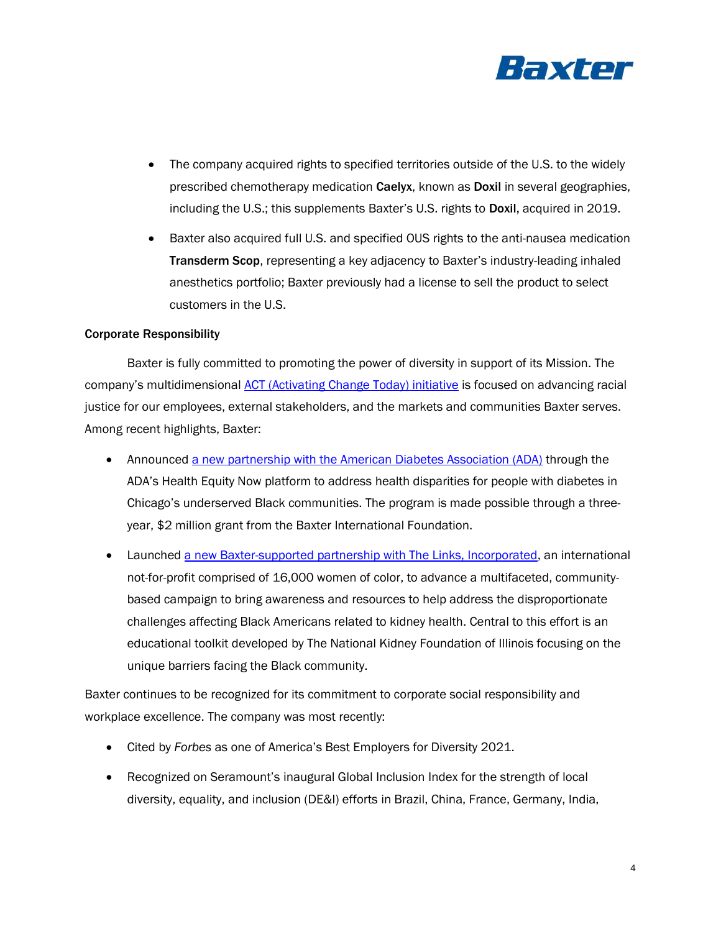

- The company acquired rights to specified territories outside of the U.S. to the widely prescribed chemotherapy medication Caelyx, known as Doxil in several geographies, including the U.S.; this supplements Baxter's U.S. rights to Doxil, acquired in 2019.
- Baxter also acquired full U.S. and specified OUS rights to the anti-nausea medication Transderm Scop, representing a key adjacency to Baxter's industry-leading inhaled anesthetics portfolio; Baxter previously had a license to sell the product to select customers in the U.S.

## Corporate Responsibility

Baxter is fully committed to promoting the power of diversity in support of its Mission. The company's multidimensional [ACT \(Activating Change Today\) initiative](https://www.baxter.com/fighting-racial-injustice) is focused on advancing racial justice for our employees, external stakeholders, and the markets and communities Baxter serves. Among recent highlights, Baxter:

- Announced [a new partnership with the American Diabetes Association \(ADA\)](https://www.baxter.com/baxter-newsroom/american-diabetes-association-and-baxter-international-foundation-partner-health) through the ADA's Health Equity Now platform to address health disparities for people with diabetes in Chicago's underserved Black communities. The program is made possible through a threeyear, \$2 million grant from the Baxter International Foundation.
- Launched [a new Baxter-supported partnership with The Links, Incorporated,](https://www.baxter.com/baxter-newsroom/baxter-launches-initiative-increase-awareness-and-education-black-communities-about) an international not-for-profit comprised of 16,000 women of color, to advance a multifaceted, communitybased campaign to bring awareness and resources to help address the disproportionate challenges affecting Black Americans related to kidney health. Central to this effort is an educational toolkit developed by The National Kidney Foundation of Illinois focusing on the unique barriers facing the Black community.

Baxter continues to be recognized for its commitment to corporate social responsibility and workplace excellence. The company was most recently:

- Cited by *Forbes* as one of America's Best Employers for Diversity 2021.
- Recognized on Seramount's inaugural Global Inclusion Index for the strength of local diversity, equality, and inclusion (DE&I) efforts in Brazil, China, France, Germany, India,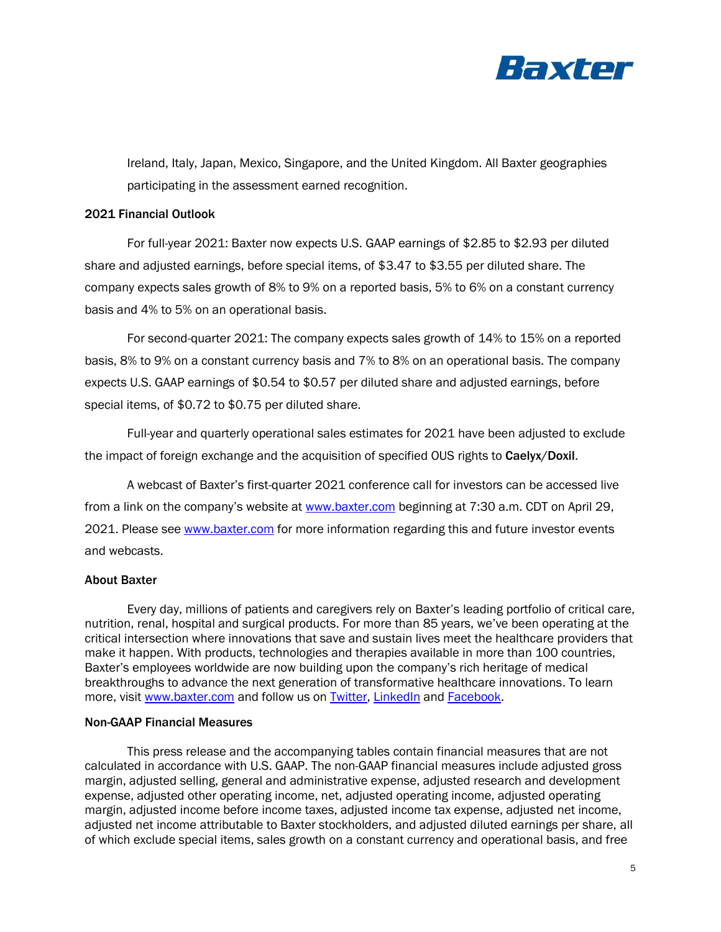

Ireland, Italy, Japan, Mexico, Singapore, and the United Kingdom. All Baxter geographies participating in the assessment earned recognition.

## 2021 Financial Outlook

For full-year 2021: Baxter now expects U.S. GAAP earnings of \$2.85 to \$2.93 per diluted share and adjusted earnings, before special items, of \$3.47 to \$3.55 per diluted share. The company expects sales growth of 8% to 9% on a reported basis, 5% to 6% on a constant currency basis and 4% to 5% on an operational basis.

For second-quarter 2021: The company expects sales growth of 14% to 15% on a reported basis, 8% to 9% on a constant currency basis and 7% to 8% on an operational basis. The company expects U.S. GAAP earnings of \$0.54 to \$0.57 per diluted share and adjusted earnings, before special items, of \$0.72 to \$0.75 per diluted share.

Full-year and quarterly operational sales estimates for 2021 have been adjusted to exclude the impact of foreign exchange and the acquisition of specified OUS rights to Caelyx/Doxil.

A webcast of Baxter's first-quarter 2021 conference call for investors can be accessed live from a link on the company's website at [www.baxter.com](https://investor.baxter.com/investors/investor-overview/default.aspx) beginning at 7:30 a.m. CDT on April 29, 2021. Please see [www.baxter.com](https://investor.baxter.com/investors/investor-overview/default.aspx) for more information regarding this and future investor events and webcasts.

### About Baxter

Every day, millions of patients and caregivers rely on Baxter's leading portfolio of critical care, nutrition, renal, hospital and surgical products. For more than 85 years, we've been operating at the critical intersection where innovations that save and sustain lives meet the healthcare providers that make it happen. With products, technologies and therapies available in more than 100 countries, Baxter's employees worldwide are now building upon the company's rich heritage of medical breakthroughs to advance the next generation of transformative healthcare innovations. To learn more, visit [www.baxter.com](http://www.baxter.com/) and follow us on [Twitter,](https://twitter.com/baxter_intl?ref_src=twsrc%5Egoogle%7Ctwcamp%5Eserp%7Ctwgr%5Eauthor) [LinkedIn](https://www.linkedin.com/company/baxter-healthcare/) and [Facebook.](https://www.facebook.com/BaxterInternationalInc/)

## Non-GAAP Financial Measures

This press release and the accompanying tables contain financial measures that are not calculated in accordance with U.S. GAAP. The non-GAAP financial measures include adjusted gross margin, adjusted selling, general and administrative expense, adjusted research and development expense, adjusted other operating income, net, adjusted operating income, adjusted operating margin, adjusted income before income taxes, adjusted income tax expense, adjusted net income, adjusted net income attributable to Baxter stockholders, and adjusted diluted earnings per share, all of which exclude special items, sales growth on a constant currency and operational basis, and free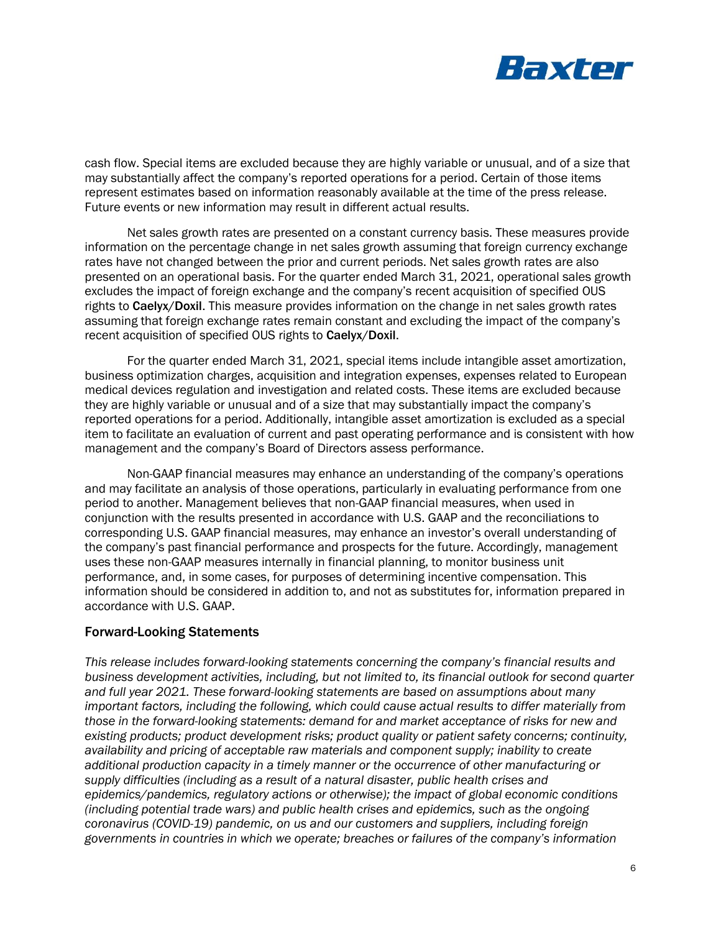

cash flow. Special items are excluded because they are highly variable or unusual, and of a size that may substantially affect the company's reported operations for a period. Certain of those items represent estimates based on information reasonably available at the time of the press release. Future events or new information may result in different actual results.

Net sales growth rates are presented on a constant currency basis. These measures provide information on the percentage change in net sales growth assuming that foreign currency exchange rates have not changed between the prior and current periods. Net sales growth rates are also presented on an operational basis. For the quarter ended March 31, 2021, operational sales growth excludes the impact of foreign exchange and the company's recent acquisition of specified OUS rights to Caelyx/Doxil. This measure provides information on the change in net sales growth rates assuming that foreign exchange rates remain constant and excluding the impact of the company's recent acquisition of specified OUS rights to Caelyx/Doxil.

For the quarter ended March 31, 2021, special items include intangible asset amortization, business optimization charges, acquisition and integration expenses, expenses related to European medical devices regulation and investigation and related costs. These items are excluded because they are highly variable or unusual and of a size that may substantially impact the company's reported operations for a period. Additionally, intangible asset amortization is excluded as a special item to facilitate an evaluation of current and past operating performance and is consistent with how management and the company's Board of Directors assess performance.

Non-GAAP financial measures may enhance an understanding of the company's operations and may facilitate an analysis of those operations, particularly in evaluating performance from one period to another. Management believes that non-GAAP financial measures, when used in conjunction with the results presented in accordance with U.S. GAAP and the reconciliations to corresponding U.S. GAAP financial measures, may enhance an investor's overall understanding of the company's past financial performance and prospects for the future. Accordingly, management uses these non-GAAP measures internally in financial planning, to monitor business unit performance, and, in some cases, for purposes of determining incentive compensation. This information should be considered in addition to, and not as substitutes for, information prepared in accordance with U.S. GAAP.

# Forward-Looking Statements

*This release includes forward-looking statements concerning the company's financial results and business development activities, including, but not limited to, its financial outlook for second quarter and full year 2021. These forward-looking statements are based on assumptions about many important factors, including the following, which could cause actual results to differ materially from those in the forward-looking statements: demand for and market acceptance of risks for new and existing products; product development risks; product quality or patient safety concerns; continuity, availability and pricing of acceptable raw materials and component supply; inability to create additional production capacity in a timely manner or the occurrence of other manufacturing or supply difficulties (including as a result of a natural disaster, public health crises and epidemics/pandemics, regulatory actions or otherwise); the impact of global economic conditions (including potential trade wars) and public health crises and epidemics, such as the ongoing coronavirus (COVID-19) pandemic, on us and our customers and suppliers, including foreign governments in countries in which we operate; breaches or failures of the company's information*